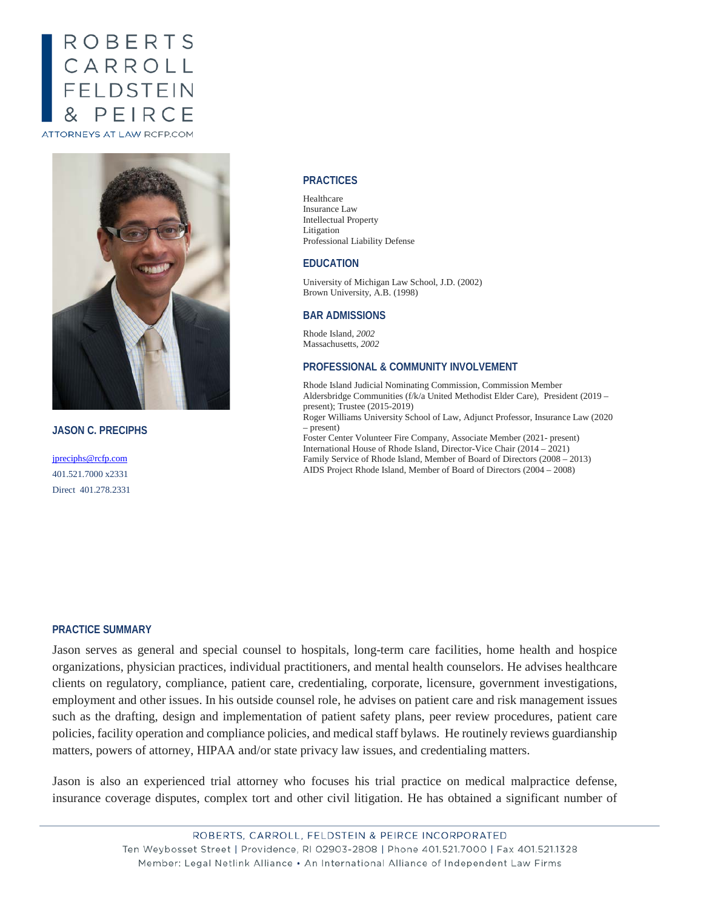# ROBERTS CARROLL<br>FELDSTEIN PEIRC ATTORNEYS AT LAW RCFP.COM



**JASON C. PRECIPHS**

[jpreciphs@rcfp.com](mailto:jpreciphs@rcfp.com) 401.521.7000 x2331 Direct 401.278.2331

#### **PRACTICES**

Healthcare Insurance Law Intellectual Property Litigation Professional Liability Defense

#### **EDUCATION**

University of Michigan Law School, J.D. (2002) Brown University, A.B. (1998)

#### **BAR ADMISSIONS**

Rhode Island, *2002* Massachusetts, *2002*

#### **PROFESSIONAL & COMMUNITY INVOLVEMENT**

Rhode Island Judicial Nominating Commission, Commission Member Aldersbridge Communities (f/k/a United Methodist Elder Care), President (2019 – present); Trustee (2015-2019) Roger Williams University School of Law, Adjunct Professor, Insurance Law (2020 – present) Foster Center Volunteer Fire Company, Associate Member (2021- present) International House of Rhode Island, Director-Vice Chair (2014 – 2021) Family Service of Rhode Island, Member of Board of Directors (2008 – 2013) AIDS Project Rhode Island, Member of Board of Directors (2004 – 2008)

#### **PRACTICE SUMMARY**

Jason serves as general and special counsel to hospitals, long-term care facilities, home health and hospice organizations, physician practices, individual practitioners, and mental health counselors. He advises healthcare clients on regulatory, compliance, patient care, credentialing, corporate, licensure, government investigations, employment and other issues. In his outside counsel role, he advises on patient care and risk management issues such as the drafting, design and implementation of patient safety plans, peer review procedures, patient care policies, facility operation and compliance policies, and medical staff bylaws. He routinely reviews guardianship matters, powers of attorney, HIPAA and/or state privacy law issues, and credentialing matters.

Jason is also an experienced trial attorney who focuses his trial practice on medical malpractice defense, insurance coverage disputes, complex tort and other civil litigation. He has obtained a significant number of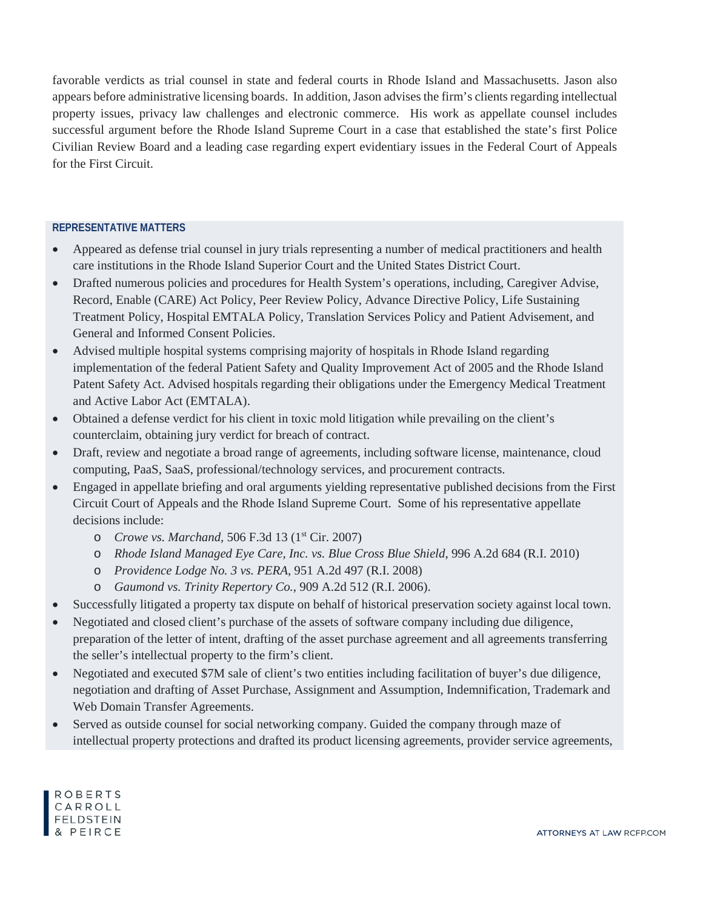favorable verdicts as trial counsel in state and federal courts in Rhode Island and Massachusetts. Jason also appears before administrative licensing boards. In addition, Jason advises the firm's clients regarding intellectual property issues, privacy law challenges and electronic commerce. His work as appellate counsel includes successful argument before the Rhode Island Supreme Court in a case that established the state's first Police Civilian Review Board and a leading case regarding expert evidentiary issues in the Federal Court of Appeals for the First Circuit.

## **REPRESENTATIVE MATTERS**

- Appeared as defense trial counsel in jury trials representing a number of medical practitioners and health care institutions in the Rhode Island Superior Court and the United States District Court.
- Drafted numerous policies and procedures for Health System's operations, including, Caregiver Advise, Record, Enable (CARE) Act Policy, Peer Review Policy, Advance Directive Policy, Life Sustaining Treatment Policy, Hospital EMTALA Policy, Translation Services Policy and Patient Advisement, and General and Informed Consent Policies.
- Advised multiple hospital systems comprising majority of hospitals in Rhode Island regarding implementation of the federal Patient Safety and Quality Improvement Act of 2005 and the Rhode Island Patent Safety Act. Advised hospitals regarding their obligations under the Emergency Medical Treatment and Active Labor Act (EMTALA).
- Obtained a defense verdict for his client in toxic mold litigation while prevailing on the client's counterclaim, obtaining jury verdict for breach of contract.
- Draft, review and negotiate a broad range of agreements, including software license, maintenance, cloud computing, PaaS, SaaS, professional/technology services, and procurement contracts.
- Engaged in appellate briefing and oral arguments yielding representative published decisions from the First Circuit Court of Appeals and the Rhode Island Supreme Court. Some of his representative appellate decisions include:
	- o *Crowe vs. Marchand,* 506 F.3d 13 (1st Cir. 2007)
	- o *Rhode Island Managed Eye Care, Inc. vs. Blue Cross Blue Shield*, 996 A.2d 684 (R.I. 2010)
	- o *Providence Lodge No. 3 vs. PERA*, 951 A.2d 497 (R.I. 2008)
	- o *Gaumond vs. Trinity Repertory Co.*, 909 A.2d 512 (R.I. 2006).
- Successfully litigated a property tax dispute on behalf of historical preservation society against local town.
- Negotiated and closed client's purchase of the assets of software company including due diligence, preparation of the letter of intent, drafting of the asset purchase agreement and all agreements transferring the seller's intellectual property to the firm's client.
- Negotiated and executed \$7M sale of client's two entities including facilitation of buyer's due diligence, negotiation and drafting of Asset Purchase, Assignment and Assumption, Indemnification, Trademark and Web Domain Transfer Agreements.
- Served as outside counsel for social networking company. Guided the company through maze of intellectual property protections and drafted its product licensing agreements, provider service agreements,